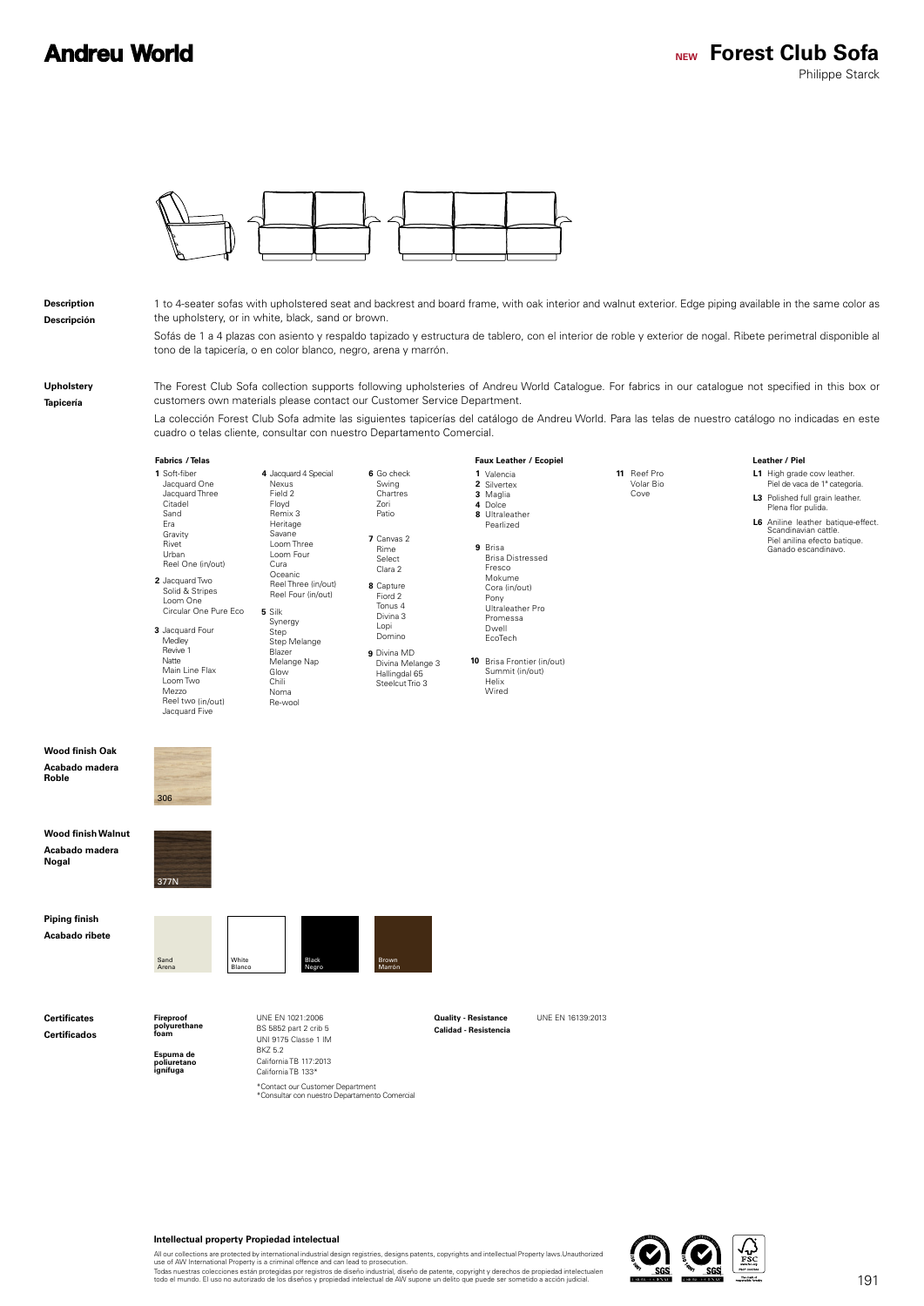## **Andreu World**



### **Description Descripción**

1 to 4-seater sofas with upholstered seat and backrest and board frame, with oak interior and walnut exterior. Edge piping available in the same color as the upholstery, or in white, black, sand or brown.

Sofás de 1 a 4 plazas con asiento y respaldo tapizado y estructura de tablero, con el interior de roble y exterior de nogal. Ribete perimetral disponible al tono de la tapicería, o en color blanco, negro, arena y marrón.

**Upholstery Tapicería**

**Nogal**

**Roble**

The Forest Club Sofa collection supports following upholsteries of Andreu World Catalogue. For fabrics in our catalogue not specified in this box or customers own materials please contact our Customer Service Department.

La colección Forest Club Sofa admite las siguientes tapicerías del catálogo de Andreu World. Para las telas de nuestro catálogo no indicadas en este cuadro o telas cliente, consultar con nuestro Departamento Comercial.

#### L1 High grade cow leather.<br>Piel de vaca de 1ª categoría. **L3** Polished full grain leather. **L6** Aniline leather batique-effect. Scandinavian cattle. Valencia Silvertex **1 2** Maglia Dolce **3 4 8** Ultraleather **10** Brisa Frontier (in/out) **11** Reef Pro **9** Brisa Brisa Distressed **1** Soft-fiber **8** Capture Fiord 2 **9** Divina MD **5** Silk **6** Go check **7** Canvas 2 **3** Jacquard Four **4** Jacquard 4 Special **2** Jacquard Two Jacquard One Jacquard Three Citadel Sand Era **Gravity** Rivet Urban Reel One (in/out) Tonus 4 Divina 3 Lopi Domino Divina Melange 3 Hallingdal 65 Steelcut Trio 3 Synergy Step Step Melange Blazer Melange Nap Glow Chili Noma Re-wool Swing Chartres Zori Patio Rime Select Clara 2 Medley Revive 1 Natte Main Line Flax Loom Two Mezzo Reel two (in/out) Jacquard Five Nexus Field 2 Floyd Remix 3 Heritage Savane Loom Three Loom Four Cura Oceanic Reel Three (in/out) Reel Four (in/out) Solid & Stripes Loom One Circular One Pure Eco Pearlized Summit (in/out) Helix Wired Volar Bio Cove Fresco Mokume Cora (in/out) Pony Ultraleather Pro Promessa Dwell EcoTech *<u>Lostbor / Piel</u>* Plena flor pulida. Piel anilina efecto batique. Ganado escandinavo. **/ Telas / Ecopiel Leather Fabrics Faux Leather** UNE EN 1021:2006 UNE EN 16139:2013 BS 5852 part 2 crib 5 UNI 9175 Classe 1 IM BKZ 5.2 California TB 117:2013 California TB 133\* **Espuma de poliuretano ignífuga Calidad - Resistencia Fireproof polyurethane foam Quality - Resistance Certificates Certificados Piping finish Acabado ribete** Sand Arena White Blanco Black Negro Brown Marrón **Wood finish Walnut Acabado madera**  377N **Wood finish Oak Acabado madera**  306

## **Intellectual property Propiedad intelectual**

All our collections are protected by international industrial design registries, designs patents, copyrights and intellectual Property laws.Unauthorized<br>use of AW International Property is a criminal offence and can lead t

\*Contact our Customer Department<br>\*Consultar con nuestro Departamento Comercial

Todas nuestras colecciones están protegidas por registros de diseño industrial, diseño de patente, copyright y derechos de propiedad intelectualen<br>todo el mundo. El uso no autorizado de los diseños y propiedad intelectual

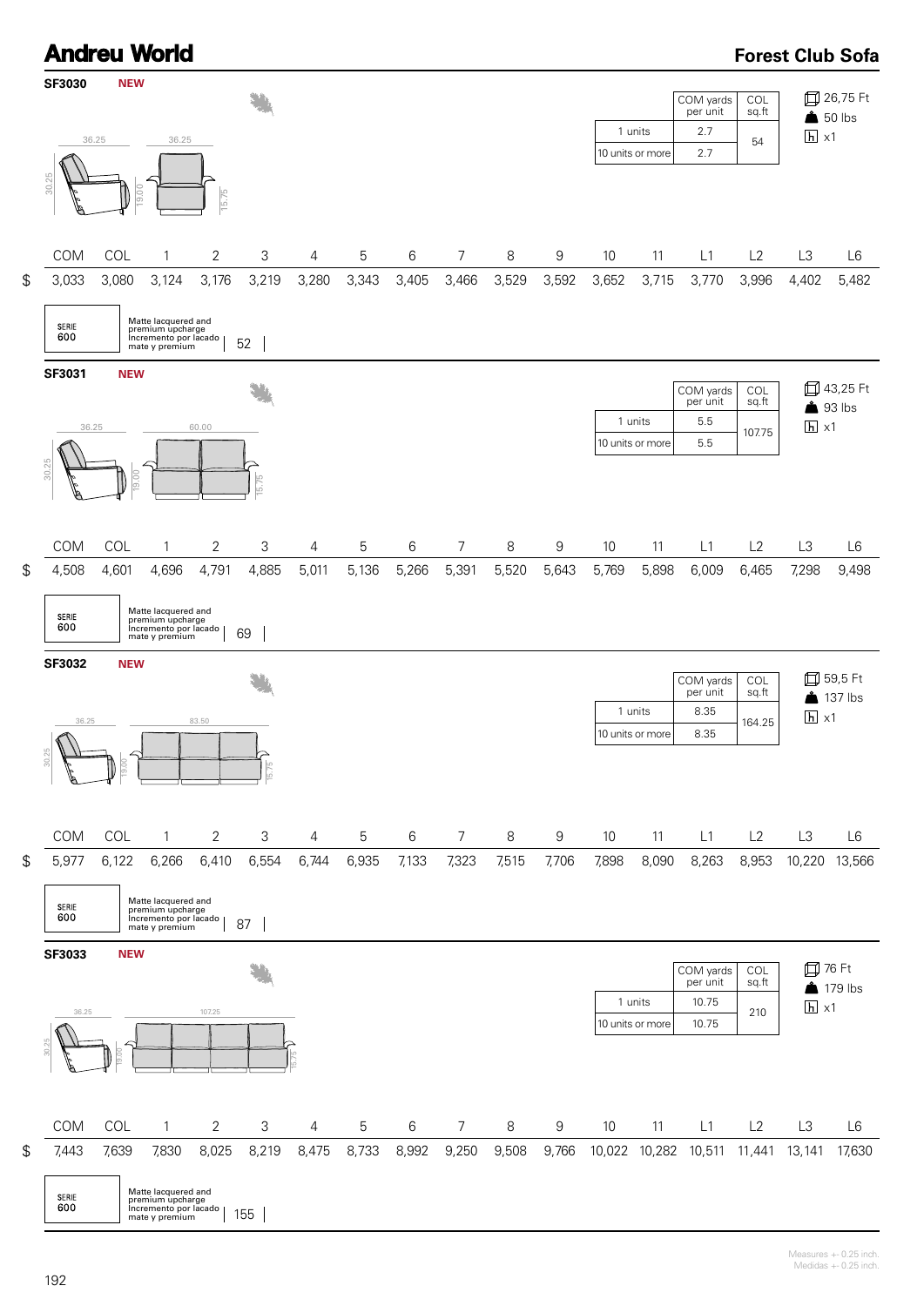



\$ COM COL 1 2 3 4 5 6 7 8 9 10 11 L1 L2 L3 L6 5,977 6,122 6,266 6,410 6,554 6,744 6,935 7,133 7,323 7,515 7,706 7,898 8,090 8,263 8,953 10,220 13,566



30.25